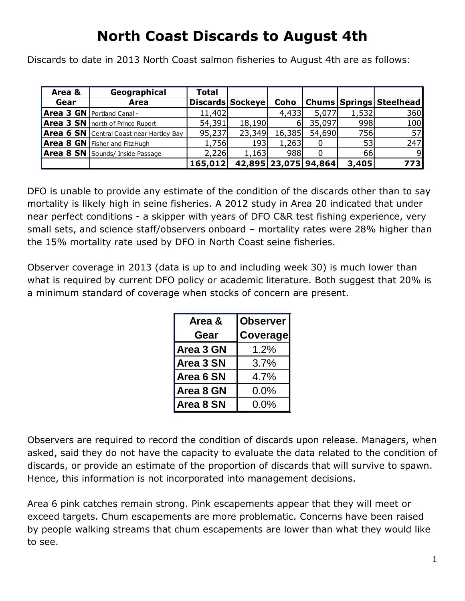# **North Coast Discards to August 4th**

Discards to date in 2013 North Coast salmon fisheries to August 4th are as follows:

| Area & | Geographical                             | <b>Total</b> |                  |                      |        |       |                             |
|--------|------------------------------------------|--------------|------------------|----------------------|--------|-------|-----------------------------|
| Gear   | Area                                     |              | Discards Sockeye | Coho                 |        |       | Chums   Springs   Steelhead |
|        | Area 3 GN Portland Canal -               | 11,402       |                  | 4,433                | 5,077  | 1,532 | 360                         |
|        | <b>Area 3 SN</b> north of Prince Rupert  | 54,391       | 18,190           | 6I                   | 35,097 | 998   | 100 <sup>l</sup>            |
|        | Area 6 SN Central Coast near Hartley Bay | 95,237       | 23,349           | 16,385               | 54,690 | 756   | 57                          |
|        | <b>Area 8 GN</b> Fisher and FitzHugh     | 1,756        | 193              | 1,263                | 0      | 53    | 247                         |
|        | <b>Area 8 SN</b> Sounds/ Inside Passage  | 2,226        | 1,163            | 988                  |        | 66I   | 9                           |
|        |                                          | 165,012      |                  | 42,895 23,075 94,864 |        | 3,405 | 773                         |

DFO is unable to provide any estimate of the condition of the discards other than to say mortality is likely high in seine fisheries. A 2012 study in Area 20 indicated that under near perfect conditions - a skipper with years of DFO C&R test fishing experience, very small sets, and science staff/observers onboard – mortality rates were 28% higher than the 15% mortality rate used by DFO in North Coast seine fisheries.

Observer coverage in 2013 (data is up to and including week 30) is much lower than what is required by current DFO policy or academic literature. Both suggest that 20% is a minimum standard of coverage when stocks of concern are present.

| Area &    | <b>Observer</b> |  |  |
|-----------|-----------------|--|--|
| Gear      | Coverage        |  |  |
| Area 3 GN | 1.2%            |  |  |
| Area 3 SN | 3.7%            |  |  |
| Area 6 SN | 4.7%            |  |  |
| Area 8 GN | $0.0\%$         |  |  |
| Area 8 SN | $0.0\%$         |  |  |

Observers are required to record the condition of discards upon release. Managers, when asked, said they do not have the capacity to evaluate the data related to the condition of discards, or provide an estimate of the proportion of discards that will survive to spawn. Hence, this information is not incorporated into management decisions.

Area 6 pink catches remain strong. Pink escapements appear that they will meet or exceed targets. Chum escapements are more problematic. Concerns have been raised by people walking streams that chum escapements are lower than what they would like to see.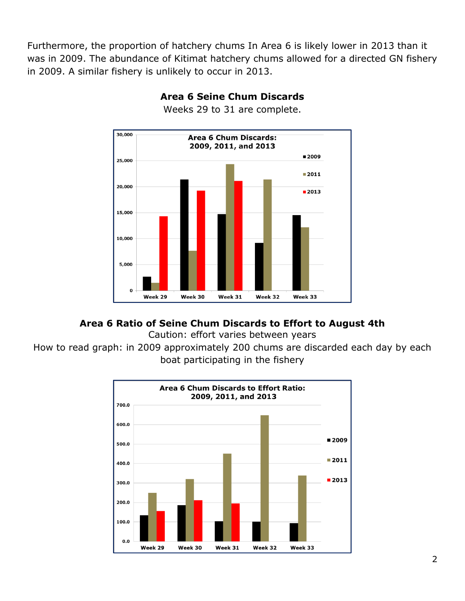Furthermore, the proportion of hatchery chums In Area 6 is likely lower in 2013 than it was in 2009. The abundance of Kitimat hatchery chums allowed for a directed GN fishery in 2009. A similar fishery is unlikely to occur in 2013.



# **Area 6 Seine Chum Discards**

Weeks 29 to 31 are complete.

## **Area 6 Ratio of Seine Chum Discards to Effort to August 4th**

Caution: effort varies between years

How to read graph: in 2009 approximately 200 chums are discarded each day by each boat participating in the fishery

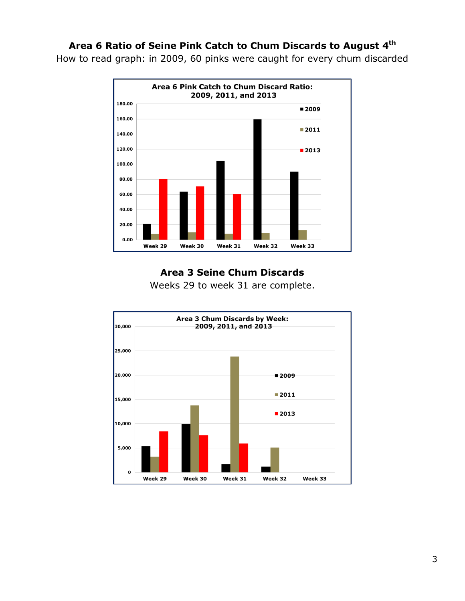## **Area 6 Ratio of Seine Pink Catch to Chum Discards to August 4th**

How to read graph: in 2009, 60 pinks were caught for every chum discarded



## **Area 3 Seine Chum Discards**

Weeks 29 to week 31 are complete.

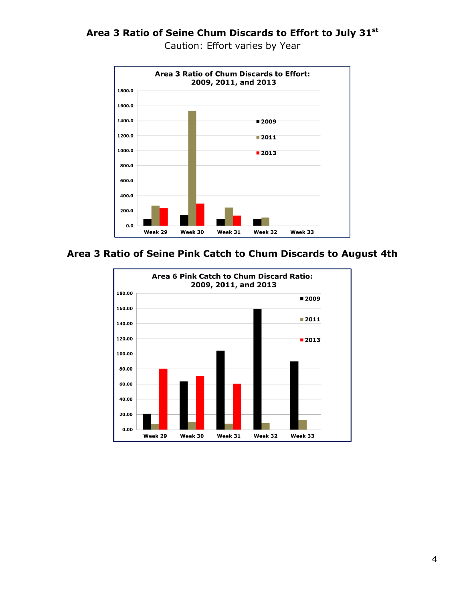## **Area 3 Ratio of Seine Chum Discards to Effort to July 31st**



Caution: Effort varies by Year

#### **Area 3 Ratio of Seine Pink Catch to Chum Discards to August 4th**